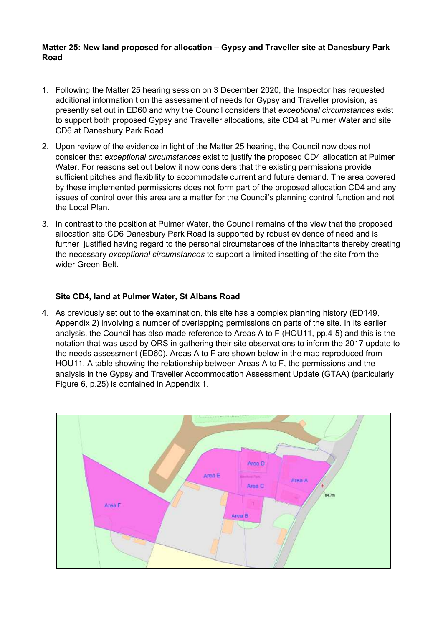## **Matter 25: New land proposed for allocation – Gypsy and Traveller site at Danesbury Park Road**

- 1. Following the Matter 25 hearing session on 3 December 2020, the Inspector has requested additional information t on the assessment of needs for Gypsy and Traveller provision, as presently set out in ED60 and why the Council considers that *exceptional circumstances* exist to support both proposed Gypsy and Traveller allocations, site CD4 at Pulmer Water and site CD6 at Danesbury Park Road.
- 2. Upon review of the evidence in light of the Matter 25 hearing, the Council now does not consider that *exceptional circumstances* exist to justify the proposed CD4 allocation at Pulmer Water. For reasons set out below it now considers that the existing permissions provide sufficient pitches and flexibility to accommodate current and future demand. The area covered by these implemented permissions does not form part of the proposed allocation CD4 and any issues of control over this area are a matter for the Council's planning control function and not the Local Plan.
- 3. In contrast to the position at Pulmer Water, the Council remains of the view that the proposed allocation site CD6 Danesbury Park Road is supported by robust evidence of need and is further justified having regard to the personal circumstances of the inhabitants thereby creating the necessary *exceptional circumstances* to support a limited insetting of the site from the wider Green Belt.

## **Site CD4, land at Pulmer Water, St Albans Road**

4. As previously set out to the examination, this site has a complex planning history (ED149, Appendix 2) involving a number of overlapping permissions on parts of the site. In its earlier analysis, the Council has also made reference to Areas A to F (HOU11, pp.4-5) and this is the notation that was used by ORS in gathering their site observations to inform the 2017 update to the needs assessment (ED60). Areas A to F are shown below in the map reproduced from HOU11. A table showing the relationship between Areas A to F, the permissions and the analysis in the Gypsy and Traveller Accommodation Assessment Update (GTAA) (particularly Figure 6, p.25) is contained in Appendix 1.

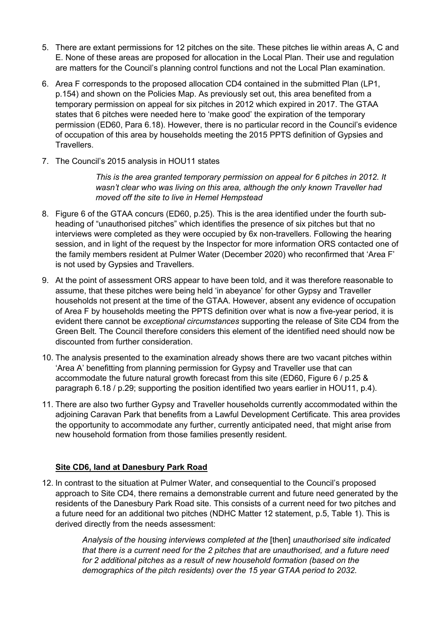- 5. There are extant permissions for 12 pitches on the site. These pitches lie within areas A, C and E. None of these areas are proposed for allocation in the Local Plan. Their use and regulation are matters for the Council's planning control functions and not the Local Plan examination.
- 6. Area F corresponds to the proposed allocation CD4 contained in the submitted Plan (LP1, p.154) and shown on the Policies Map. As previously set out, this area benefited from a temporary permission on appeal for six pitches in 2012 which expired in 2017. The GTAA states that 6 pitches were needed here to 'make good' the expiration of the temporary permission (ED60, Para 6.18). However, there is no particular record in the Council's evidence of occupation of this area by households meeting the 2015 PPTS definition of Gypsies and Travellers.
- 7. The Council's 2015 analysis in HOU11 states

*This is the area granted temporary permission on appeal for 6 pitches in 2012. It wasn't clear who was living on this area, although the only known Traveller had moved off the site to live in Hemel Hempstead*

- 8. Figure 6 of the GTAA concurs (ED60, p.25). This is the area identified under the fourth subheading of "unauthorised pitches" which identifies the presence of six pitches but that no interviews were completed as they were occupied by 6x non-travellers. Following the hearing session, and in light of the request by the Inspector for more information ORS contacted one of the family members resident at Pulmer Water (December 2020) who reconfirmed that 'Area F' is not used by Gypsies and Travellers.
- 9. At the point of assessment ORS appear to have been told, and it was therefore reasonable to assume, that these pitches were being held 'in abeyance' for other Gypsy and Traveller households not present at the time of the GTAA. However, absent any evidence of occupation of Area F by households meeting the PPTS definition over what is now a five-year period, it is evident there cannot be *exceptional circumstances* supporting the release of Site CD4 from the Green Belt. The Council therefore considers this element of the identified need should now be discounted from further consideration.
- 10. The analysis presented to the examination already shows there are two vacant pitches within 'Area A' benefitting from planning permission for Gypsy and Traveller use that can accommodate the future natural growth forecast from this site (ED60, Figure 6 / p.25 & paragraph 6.18 / p.29; supporting the position identified two years earlier in HOU11, p.4).
- 11. There are also two further Gypsy and Traveller households currently accommodated within the adjoining Caravan Park that benefits from a Lawful Development Certificate. This area provides the opportunity to accommodate any further, currently anticipated need, that might arise from new household formation from those families presently resident.

## **Site CD6, land at Danesbury Park Road**

12. In contrast to the situation at Pulmer Water, and consequential to the Council's proposed approach to Site CD4, there remains a demonstrable current and future need generated by the residents of the Danesbury Park Road site. This consists of a current need for two pitches and a future need for an additional two pitches (NDHC Matter 12 statement, p.5, Table 1). This is derived directly from the needs assessment:

> *Analysis of the housing interviews completed at the* [then] *unauthorised site indicated that there is a current need for the 2 pitches that are unauthorised, and a future need for 2 additional pitches as a result of new household formation (based on the demographics of the pitch residents) over the 15 year GTAA period to 2032.*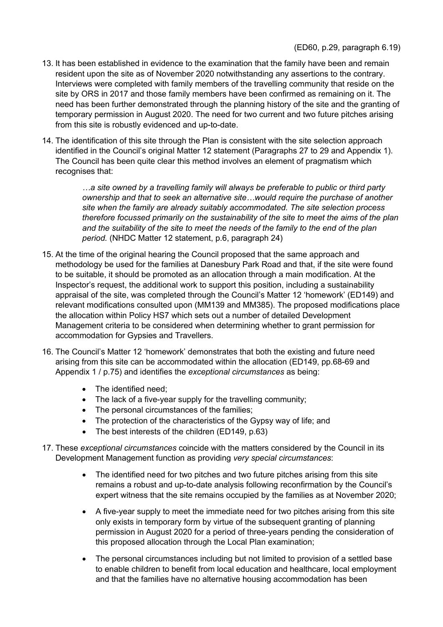- 13. It has been established in evidence to the examination that the family have been and remain resident upon the site as of November 2020 notwithstanding any assertions to the contrary. Interviews were completed with family members of the travelling community that reside on the site by ORS in 2017 and those family members have been confirmed as remaining on it. The need has been further demonstrated through the planning history of the site and the granting of temporary permission in August 2020. The need for two current and two future pitches arising from this site is robustly evidenced and up-to-date.
- 14. The identification of this site through the Plan is consistent with the site selection approach identified in the Council's original Matter 12 statement (Paragraphs 27 to 29 and Appendix 1). The Council has been quite clear this method involves an element of pragmatism which recognises that:

*…a site owned by a travelling family will always be preferable to public or third party ownership and that to seek an alternative site…would require the purchase of another site when the family are already suitably accommodated. The site selection process therefore focussed primarily on the sustainability of the site to meet the aims of the plan and the suitability of the site to meet the needs of the family to the end of the plan period.* (NHDC Matter 12 statement, p.6, paragraph 24)

- 15. At the time of the original hearing the Council proposed that the same approach and methodology be used for the families at Danesbury Park Road and that, if the site were found to be suitable, it should be promoted as an allocation through a main modification. At the Inspector's request, the additional work to support this position, including a sustainability appraisal of the site, was completed through the Council's Matter 12 'homework' (ED149) and relevant modifications consulted upon (MM139 and MM385). The proposed modifications place the allocation within Policy HS7 which sets out a number of detailed Development Management criteria to be considered when determining whether to grant permission for accommodation for Gypsies and Travellers.
- 16. The Council's Matter 12 'homework' demonstrates that both the existing and future need arising from this site can be accommodated within the allocation (ED149, pp.68-69 and Appendix 1 / p.75) and identifies the *exceptional circumstances* as being:
	- The identified need:
	- The lack of a five-year supply for the travelling community;
	- The personal circumstances of the families;
	- The protection of the characteristics of the Gypsy way of life; and
	- The best interests of the children (ED149, p.63)
- 17. These *exceptional circumstances* coincide with the matters considered by the Council in its Development Management function as providing *very special circumstances*:
	- The identified need for two pitches and two future pitches arising from this site remains a robust and up-to-date analysis following reconfirmation by the Council's expert witness that the site remains occupied by the families as at November 2020;
	- A five-year supply to meet the immediate need for two pitches arising from this site only exists in temporary form by virtue of the subsequent granting of planning permission in August 2020 for a period of three-years pending the consideration of this proposed allocation through the Local Plan examination;
	- The personal circumstances including but not limited to provision of a settled base to enable children to benefit from local education and healthcare, local employment and that the families have no alternative housing accommodation has been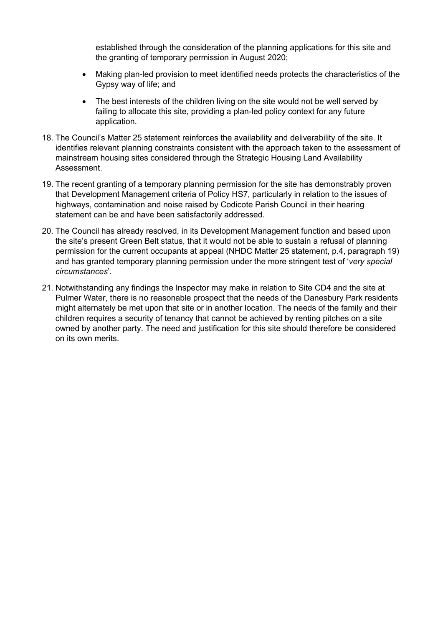established through the consideration of the planning applications for this site and the granting of temporary permission in August 2020;

- Making plan-led provision to meet identified needs protects the characteristics of the Gypsy way of life; and
- The best interests of the children living on the site would not be well served by failing to allocate this site, providing a plan-led policy context for any future application.
- 18. The Council's Matter 25 statement reinforces the availability and deliverability of the site. It identifies relevant planning constraints consistent with the approach taken to the assessment of mainstream housing sites considered through the Strategic Housing Land Availability Assessment.
- 19. The recent granting of a temporary planning permission for the site has demonstrably proven that Development Management criteria of Policy HS7, particularly in relation to the issues of highways, contamination and noise raised by Codicote Parish Council in their hearing statement can be and have been satisfactorily addressed.
- 20. The Council has already resolved, in its Development Management function and based upon the site's present Green Belt status, that it would not be able to sustain a refusal of planning permission for the current occupants at appeal (NHDC Matter 25 statement, p.4, paragraph 19) and has granted temporary planning permission under the more stringent test of '*very special circumstances*'.
- 21. Notwithstanding any findings the Inspector may make in relation to Site CD4 and the site at Pulmer Water, there is no reasonable prospect that the needs of the Danesbury Park residents might alternately be met upon that site or in another location. The needs of the family and their children requires a security of tenancy that cannot be achieved by renting pitches on a site owned by another party. The need and justification for this site should therefore be considered on its own merits.